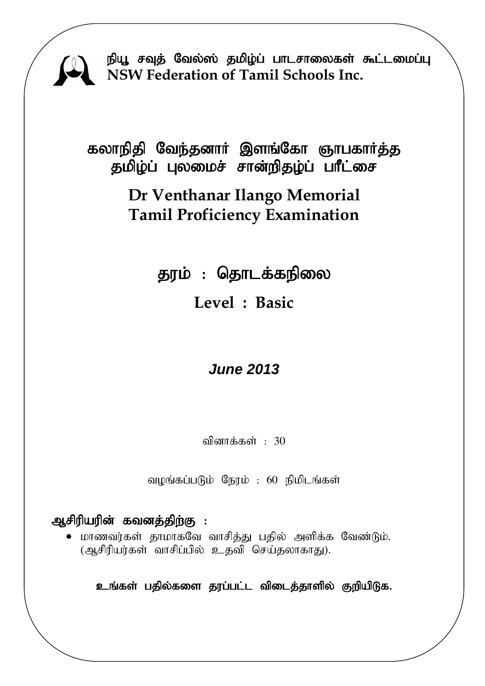

நியூ சவுத் வேல்ஸ் தமிழ்ப் பாடசாலைகள் கூட்டமைப்பு **NSW Federation of Tamil Schools Inc.**

கலாநிதி வேந்தனார் இளங்கோ ஞாபகார்த்த தமிழ்ப் புலமைச் சான்றிதழ்ப் பாீட்சை

# **Dr Venthanar Ilango Memorial Tamil Proficiency Examination**

தரம் : தொடக்கநிலை **Level : Basic**

# *June 2013*

வினாக்கள் :  $30$ 

வழங்கப்படும் நேரம் : 60 நிமிடங்கள்

# ஆசிரியரின் கவனத்திற்கு :

 $\bullet$  மாணவர்கள் தாமாகவே வாசித்து பதில் அளிக்க வேண்டும். (ஆசிரியர்கள் வாசிப்பில் உதவி செய்தலாகாது).

உங்கள் பதில்களை தரப்பட்ட விடைத்தாளில் குறியிடுக.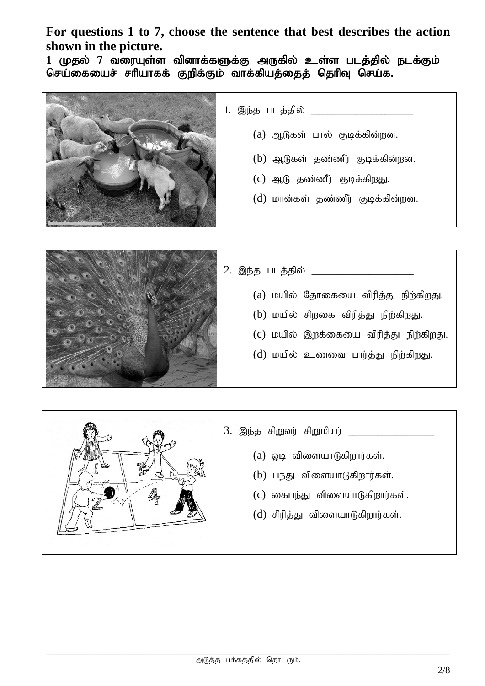**For questions 1 to 7, choose the sentence that best describes the action shown in the picture.**

1 முதல் 7 வரையுள்ள வினாக்களுக்கு அருகில் உள்ள படத்தில் நடக்கும் செய்கையைச் சரியாகக் குறிக்கும் வாக்கியத்தைத் தெரிவு செய்க.



- 1. ,e;j glj;jpy; \_\_\_\_\_\_\_\_\_\_\_\_\_\_\_\_\_\_\_\_\_\_\_\_\_
	- $(a)$  ஆடுகள் பால் குடிக்கின்றன.
	- $(b)$  ஆடுகள் தண்ணீர் குடிக்கின்றன.
	- $(C)$  ஆடு தண்ணீர் குடிக்கிறது.
	- $(d)$  மான்கள் தண்ணீர் குடிக்கின்றன.



2. ,e;j glj;jpy; \_\_\_\_\_\_\_\_\_\_\_\_\_\_\_\_\_\_\_\_\_\_\_\_\_  $(a)$  மயில் தோகையை விரித்து நிற்கிறது.  $(b)$  மயில் சிறகை விரித்து நிற்கிறது.  $(c)$  மயில் இறக்கையை விரித்து நிற்கிறது.  $(d)$  மயில் உணவை பார்த்து நிற்கிறது.

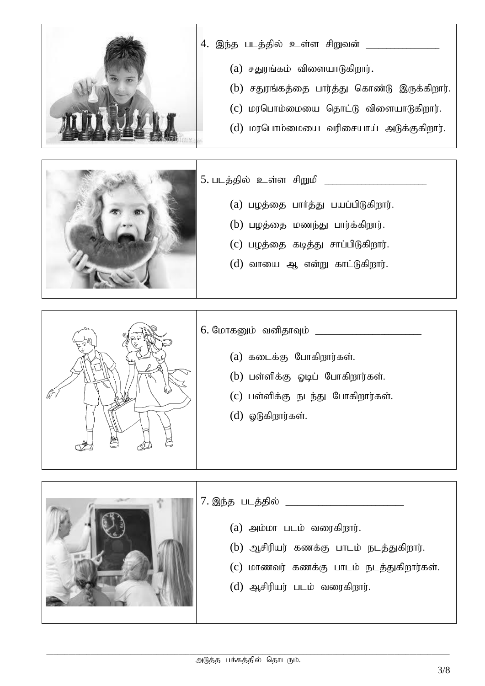

- 4. இந்த படத்தில் உள்ள சிறுவன் \_\_\_\_\_\_\_\_\_\_\_\_\_\_
	- $(a)$  சதுரங்கம் விளையாடுகிறார்.
	- $(b)$  சதுரங்கத்தை பார்த்து கொண்டு இருக்கிறார்.
	- $(c)$  மரபொம்மையை தொட்டு விளையாடுகிறார்.
	- $(d)$  மரபொம்மையை வரிசையாய் அடுக்குகிறார்.



- 5. glj;jpy; cs;s rpWkp \_\_\_\_\_\_\_\_\_\_\_\_\_\_\_\_\_\_\_\_\_\_\_\_\_  $(a)$  பழத்தை பார்த்து பயப்பிடுகிறார்.
	- $(b)$  பழத்தை மணந்து பார்க்கிறார்.
	- $(c)$  பழத்தை கடித்து சாப்பிடுகிறார்.
	- $(d)$  வாயை ஆ என்று காட்டுகிறார்.



- 6. NkhfDk; tdpjhTk; \_\_\_\_\_\_\_\_\_\_\_\_\_\_\_\_\_\_\_\_\_\_\_\_\_\_
	- $(a)$  கடைக்கு போகிறார்கள்.
	- $(b)$  பள்ளிக்கு ஓடிப் போகிறார்கள்.
	- $(c)$  பள்ளிக்கு நடந்து போகிறார்கள்.
	- $(d)$  ஓடுகிறார்கள்.



- 7. ,e;j glj;jpy; \_\_\_\_\_\_\_\_\_\_\_\_\_\_\_\_\_\_\_\_\_\_\_\_\_\_\_\_\_
	- $(a)$  அம்மா படம் வரைகிறார்.
	- $(b)$  ஆசிரியர் கணக்கு பாடம் நடத்துகிறார்.
	- $(c)$  மாணவர் கணக்கு பாடம் நடத்துகிறார்கள்.
	- $(d)$  ஆசிரியர் படம் வரைகிறார்.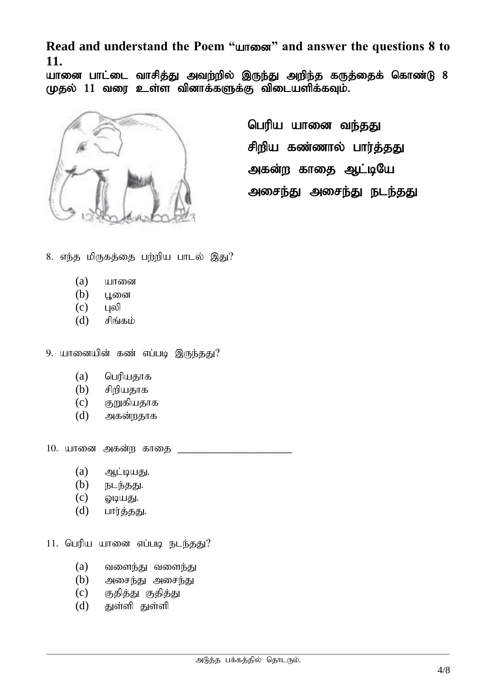Read and understand the Poem "unrestand" and answer the questions 8 to **11.**

யானை பாட்டை வாசித்து அவற்றில் இருந்து அறிந்த கருத்தைக் கொண்டு 8  $($ ழதல்  $11$  வரை உள்ள வினாக்களுக்கு விடையளிக்கவும்.



பெரிய யானை வந்தது சிறிய கண்ணால் பார்த்தது அகன்ற காதை ஆட்டியே அசைந்து அசைந்து நடந்தது

- 8. எந்த மிருகத்தை பற்றிய பாடல் இது?
	- $(a)$  யானை
	- $(b)$  பூனை
	- $(c)$  புலி
	- $(d)$  சிங்கம்
- 9. யானையின் கண் எப்படி இருந்தது?
	- $(a)$  பெரியதாக
	- $(b)$  சிறியதாக
	- $(c)$  குறுகியதாக
	- $(d)$  அகன்றதாக

 $10.$  யானை அகன்ற காதை \_

- $(a)$   $\partial h$   $\dot{\partial}$   $\partial g$   $\dot{\partial}$   $\partial g$   $\dot{\partial}$
- $(b)$  நடந்தது.
- $(c)$  *Quubj.*
- $(d)$  பார்த்தது.
- $11.$  பெரிய யானை எப்படி நடந்தது?
	- $(a)$  வளைந்து வளைந்து
	- $(b)$  அசைந்து அசைந்து
	- $(c)$  குதித்து குதித்து
	- $(d)$  துள்ளி துள்ளி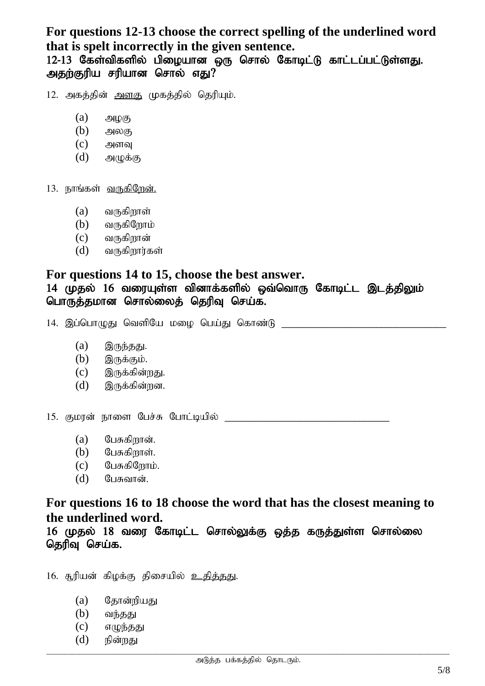## **For questions 12-13 choose the correct spelling of the underlined word that is spelt incorrectly in the given sentence.**

12-13 கேள்விகளில் பிழையான ஒரு சொல் கோடிட்டு காட்டப்பட்டுள்ளது. அதற்குரிய சரியான சொல் எது $?$ 

12. அகத்தின் அளகு முகத்தில் தெரியும்.

- $(a)$   $\mathfrak{Alg}(\mathfrak{G})$
- $(b)$  அலகு
- $(c)$  அளவு
- $(d)$  அழுக்கு

13. நாங்கள் <u>வருகிறேன்.</u>

- $(a)$  வருகிறாள்
- $(b)$  வருகிறோம்
- $(c)$  வருகிறான்
- $(d)$  வருகிறார்கள்

#### **For questions 14 to 15, choose the best answer.**

#### 14 (முதல் 16 வரையுள்ள வினாக்களில் ஒவ்வொரு கோடிட்ட இடத்திலும் பொருத்தமான சொல்லைத் தெரிவு செய்க.

14. ,g;nghOJ ntspNa kio nga;J nfhz;L \_\_\_\_\_\_\_\_\_\_\_\_\_\_\_\_\_\_\_\_\_\_\_\_\_\_\_\_\_\_\_\_\_

- $(a)$  இருந்தது.
- $(b)$  இருக்கும்.
- $(c)$  இருக்கின்றது.
- $(d)$  இருக்கின்றன.

15. குமான் நாளை பேச்சு போட்டியில்

- $(a)$  பேசுகிறான்.
- $(b)$   $Q_{L}$ சுகிறாள்.
- $(c)$  பேசுகிறோம்.
- $(d)$  பேசுவான்.

### **For questions 16 to 18 choose the word that has the closest meaning to the underlined word.**

16 முதல் 18 வரை கோடிட்ட சொல்லுக்கு ஒத்த கருத்துள்ள சொல்லை தெரிவு செய்க.

 $16.$  சூரியன் கிழக்கு திசையில் <u>உதித்தது</u>.

- (a) தோன்றியது
- $(b)$  வந்தது
- $(c)$  எழுந்தது
- $(d)$  நின்றது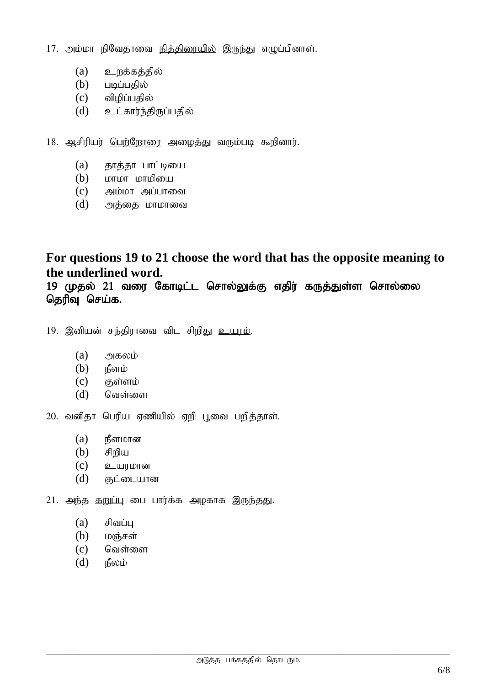17. அம்மா நிவேதாவை <u>நித்திரையில்</u> இருந்து எழுப்பினாள்.

- $(a)$  உறக்கத்தில்
- $(b)$  படிப்பகில்
- $(c)$  விழிப்பதில்
- $(d)$  உட்கார்ந்திருப்பதில்
- 18. ஆசிரியர் பெற்றோரை அழைத்து வரும்படி கூறினார்.
	- $(a)$  தாத்தா பாட்டியை
	- (b) khkh khkpia
	- $(c)$  அம்மா அப்பாவை
	- $(d)$  அத்தை மாமாவை

# **For questions 19 to 21 choose the word that has the opposite meaning to the underlined word.**

19 முதல் 21 வரை கோடிட்ட சொல்லுக்கு எதிர் கருத்துள்ள சொல்லை தெரிவு செய்க.

- 19. இனியன் சந்திராவை விட சிறிது <u>உயரம்</u>.
	- $(a)$  அகலம்
	- $(b)$  நீளம்
	- $(c)$  சூள்ளம்
	- $(d)$  வெள்ளை

 $20.$  வனிதா பெரிய ஏணியில் ஏறி பூவை பறித்தாள்.

- $(a)$   $\mathbb{B}$ ளமான
- $(b)$  சிறிய
- $(c)$  **p**\_ult $\mu$ form
- $(d)$  குட்டையான

 $21.$  அந்த தறுப்பு பை பார்க்க அழகாக இருந்தது.

- $(a)$  சிவப்ப
- $(b)$  மஞ்சள்
- $(c)$  வெள்ளை
- $(d)$   $\mathsf{r}_{\mathsf{B}}^{\mathsf{B}}$ லம்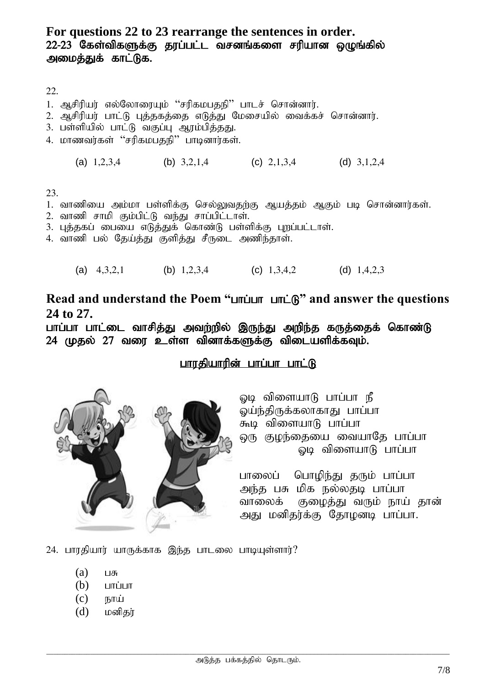#### **For questions 22 to 23 rearrange the sentences in order.**  $22$ - $23$  கேள்விகளுக்கு தூப்பட்ட வசனங்களை சரியான ஒழுங்கில் அமைத்துக் காட்டுக.

22.

- 1. ஆசிரியர் எல்லோரையும் ''சரிகமபதநி'' பாடச் சொன்னார்.
- 2. ஆசிரியர் பாட்டு புத்தகத்தை எடுத்து மேசையில் வைக்கச் சொன்னார்.
- 3. பள்ளியில் பாட்டு வகுப்பு ஆரம்பித்தது.
- 4. மாணவர்கள் "சரிகமபதநி" பாடினார்கள்.
	- (a)  $1,2,3,4$  (b)  $3,2,1,4$  (c)  $2,1,3,4$  (d)  $3,1,2,4$

23.

- 1. வாணியை அம்மா பள்ளிக்கு செல்லுவதற்கு ஆயத்தம் ஆகும் படி சொன்னார்கள்.
- $2.$  வாணி சாமி கும்பிட்டு வந்து சாப்பிட்டாள்.
- 3. புத்தகப் பையை எடுத்துக் கொண்டு பள்ளிக்கு புறப்பட்டாள்.
- 4. வாணி பல் தேய்த்து குளித்து சீருடை அணிந்தாள்.
	- (a)  $4,3,2,1$  (b)  $1,2,3,4$  (c)  $1,3,4,2$  (d)  $1,4,2,3$

Read and understand the Poem "unium unic<sup>2</sup>" and answer the questions **24 to 27.**

பாப்பா பாட்டை வாசித்து அவற்றில் இருந்து அறிந்த கருத்தைக் கொண்டு  $24$  (முதல்  $27$  வரை உள்ள வினாக்களுக்கு விடையளிக்கவும்.

## பாரதியாரின் பாப்பா பாட்டு



லடி விளையாடு பாப்பா நீ லய்ந்திருக்கலாகாது பாப்பா கூடி விளையா $\beta$  பாப்பா ஒரு குழந்தையை வையாதே பாப்பா லடி விளையாடு பாப்பா

பாலைப் பொழிந்து தரும் பாப்பா அந்த பசு மிக நல்லதடி பாப்பா வாலைக் குழைத்து வரும் நாய் தான் அது மனிதர்க்கு தோழனடி பாப்பா.

 $24.$  பாரதியார் யாருக்காக இந்த பாடலை பாடியுள்ளார்?

- $(a)$   $\Box$
- $(b)$   $L$
- $(c)$   $E$ <sub>D</sub> $\pi$
- $(d)$  மனிகர்